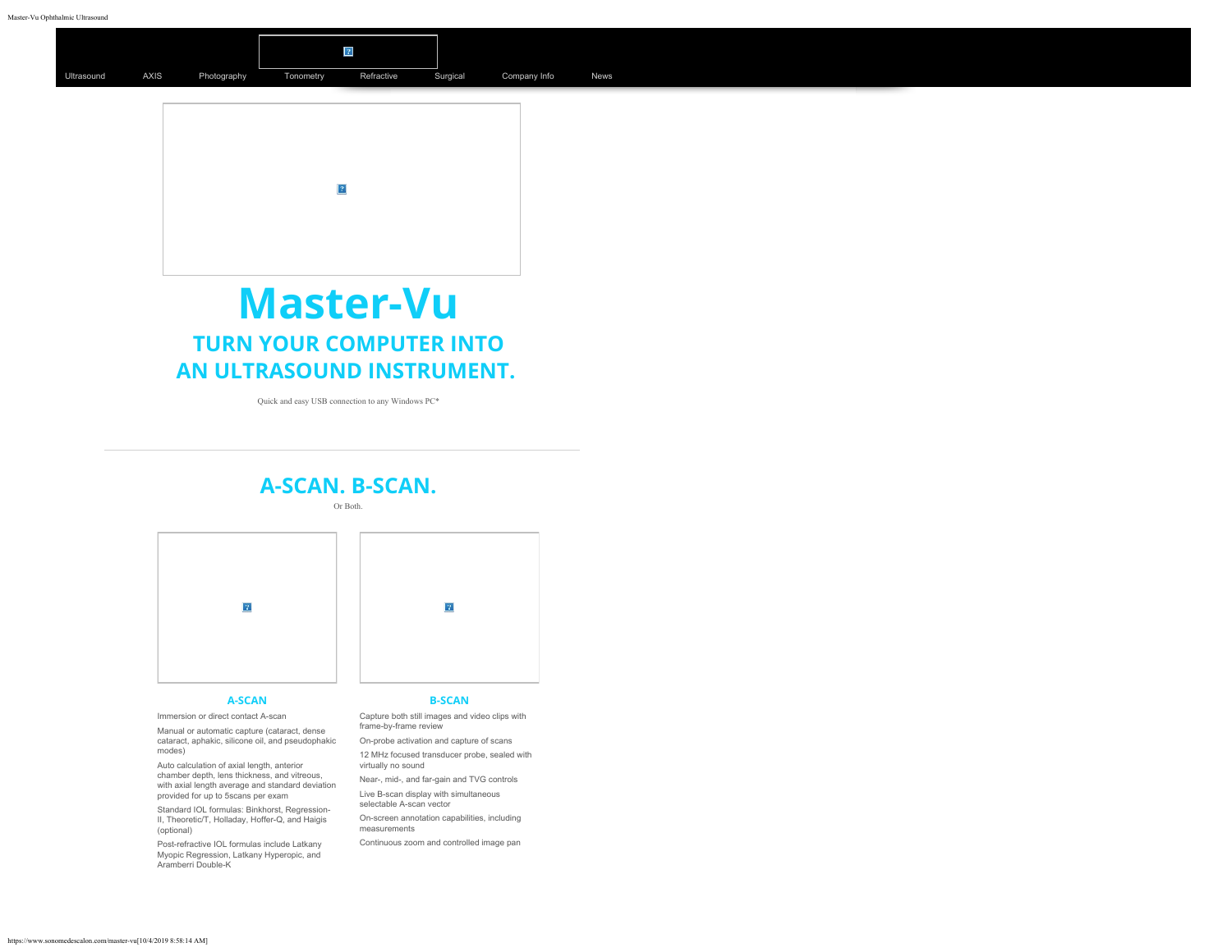



# **Master-Vu TURN YOUR COMPUTER INTO AN ULTRASOUND INSTRUMENT.**

Quick and easy USB connection to any Windows PC\*

### **A-SCAN. B-SCAN.**

Or Both.



#### **A-SCAN**

Immersion or direct contact A-scan

Manual or automatic capture (cataract, dense cataract, aphakic, silicone oil, and pseudophakic modes)

Auto calculation of axial length, anterior chamber depth, lens thickness, and vitreous, with axial length average and standard deviation provided for up to 5scans per exam

Standard IOL formulas: Binkhorst, Regression-II, Theoretic/T, Holladay, Hoffer-Q, and Haigis (optional)

Post-refractive IOL formulas include Latkany Myopic Regression, Latkany Hyperopic, and Aramberri Double-K

#### **B-SCAN**

 $\boxed{?}$ 

Capture both still images and video clips with frame-by-frame review

On-probe activation and capture of scans 12 MHz focused transducer probe, sealed with

virtually no sound Near-, mid-, and far-gain and TVG controls

Live B-scan display with simultaneous selectable A-scan vector

On-screen annotation capabilities, including measurements

Continuous zoom and controlled image pan